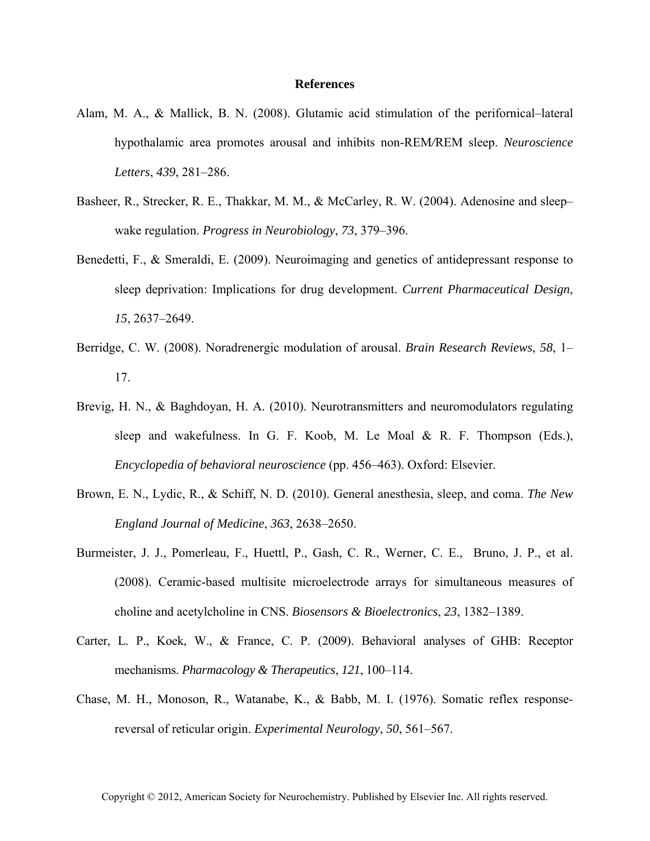## **References**

- Alam, M. A., & Mallick, B. N. (2008). Glutamic acid stimulation of the perifornical–lateral hypothalamic area promotes arousal and inhibits non-REM*/*REM sleep. *Neuroscience Letters*, *439*, 281–286.
- Basheer, R., Strecker, R. E., Thakkar, M. M., & McCarley, R. W. (2004). Adenosine and sleep– wake regulation. *Progress in Neurobiology*, *73*, 379–396.
- Benedetti, F., & Smeraldi, E. (2009). Neuroimaging and genetics of antidepressant response to sleep deprivation: Implications for drug development. *Current Pharmaceutical Design*, *15*, 2637–2649.
- Berridge, C. W. (2008). Noradrenergic modulation of arousal. *Brain Research Reviews*, *58*, 1– 17.
- Brevig, H. N., & Baghdoyan, H. A. (2010). Neurotransmitters and neuromodulators regulating sleep and wakefulness. In G. F. Koob, M. Le Moal & R. F. Thompson (Eds.), *Encyclopedia of behavioral neuroscience* (pp. 456–463). Oxford: Elsevier.
- Brown, E. N., Lydic, R., & Schiff, N. D. (2010). General anesthesia, sleep, and coma. *The New England Journal of Medicine*, *363*, 2638–2650.
- Burmeister, J. J., Pomerleau, F., Huettl, P., Gash, C. R., Werner, C. E., Bruno, J. P., et al. (2008). Ceramic-based multisite microelectrode arrays for simultaneous measures of choline and acetylcholine in CNS. *Biosensors & Bioelectronics*, *23*, 1382–1389.
- Carter, L. P., Koek, W., & France, C. P. (2009). Behavioral analyses of GHB: Receptor mechanisms. *Pharmacology & Therapeutics*, *121*, 100–114.
- Chase, M. H., Monoson, R., Watanabe, K., & Babb, M. I. (1976). Somatic reflex responsereversal of reticular origin. *Experimental Neurology*, *50*, 561–567.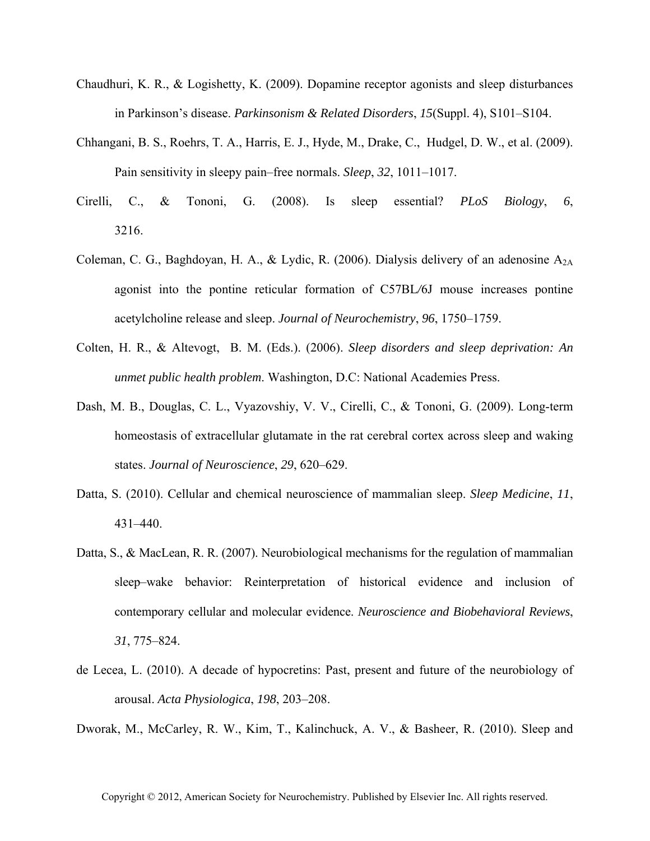- Chaudhuri, K. R., & Logishetty, K. (2009). Dopamine receptor agonists and sleep disturbances in Parkinson's disease. *Parkinsonism & Related Disorders*, *15*(Suppl. 4), S101–S104.
- Chhangani, B. S., Roehrs, T. A., Harris, E. J., Hyde, M., Drake, C., Hudgel, D. W., et al. (2009). Pain sensitivity in sleepy pain–free normals. *Sleep*, *32*, 1011–1017.
- Cirelli, C., & Tononi, G. (2008). Is sleep essential? *PLoS Biology*, *6*, 3216.
- Coleman, C. G., Baghdoyan, H. A., & Lydic, R. (2006). Dialysis delivery of an adenosine  $A_{2A}$ agonist into the pontine reticular formation of C57BL*/*6J mouse increases pontine acetylcholine release and sleep. *Journal of Neurochemistry*, *96*, 1750–1759.
- Colten, H. R., & Altevogt, B. M. (Eds.). (2006). *Sleep disorders and sleep deprivation: An unmet public health problem*. Washington, D.C: National Academies Press.
- Dash, M. B., Douglas, C. L., Vyazovshiy, V. V., Cirelli, C., & Tononi, G. (2009). Long-term homeostasis of extracellular glutamate in the rat cerebral cortex across sleep and waking states. *Journal of Neuroscience*, *29*, 620–629.
- Datta, S. (2010). Cellular and chemical neuroscience of mammalian sleep. *Sleep Medicine*, *11*, 431–440.
- Datta, S., & MacLean, R. R. (2007). Neurobiological mechanisms for the regulation of mammalian sleep–wake behavior: Reinterpretation of historical evidence and inclusion of contemporary cellular and molecular evidence. *Neuroscience and Biobehavioral Reviews*, *31*, 775–824.
- de Lecea, L. (2010). A decade of hypocretins: Past, present and future of the neurobiology of arousal. *Acta Physiologica*, *198*, 203–208.

Dworak, M., McCarley, R. W., Kim, T., Kalinchuck, A. V., & Basheer, R. (2010). Sleep and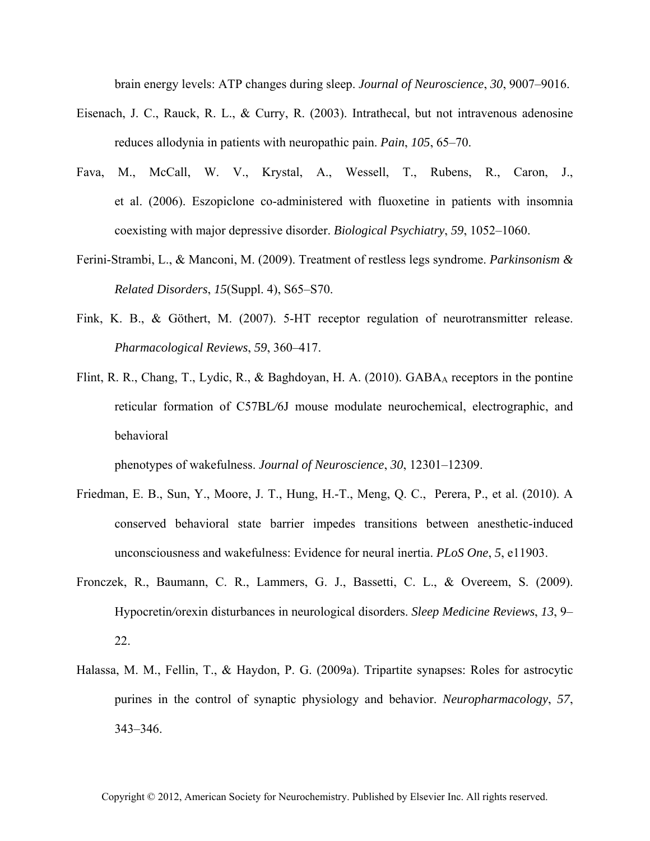brain energy levels: ATP changes during sleep. *Journal of Neuroscience*, *30*, 9007–9016.

- Eisenach, J. C., Rauck, R. L., & Curry, R. (2003). Intrathecal, but not intravenous adenosine reduces allodynia in patients with neuropathic pain. *Pain*, *105*, 65–70.
- Fava, M., McCall, W. V., Krystal, A., Wessell, T., Rubens, R., Caron, J., et al. (2006). Eszopiclone co-administered with fluoxetine in patients with insomnia coexisting with major depressive disorder. *Biological Psychiatry*, *59*, 1052–1060.
- Ferini-Strambi, L., & Manconi, M. (2009). Treatment of restless legs syndrome. *Parkinsonism & Related Disorders*, *15*(Suppl. 4), S65–S70.
- Fink, K. B., & Göthert, M. (2007). 5-HT receptor regulation of neurotransmitter release. *Pharmacological Reviews*, *59*, 360–417.
- Flint, R. R., Chang, T., Lydic, R., & Baghdoyan, H. A. (2010).  $GABA_A$  receptors in the pontine reticular formation of C57BL*/*6J mouse modulate neurochemical, electrographic, and behavioral

phenotypes of wakefulness. *Journal of Neuroscience*, *30*, 12301–12309.

- Friedman, E. B., Sun, Y., Moore, J. T., Hung, H.-T., Meng, Q. C., Perera, P., et al. (2010). A conserved behavioral state barrier impedes transitions between anesthetic-induced unconsciousness and wakefulness: Evidence for neural inertia. *PLoS One*, *5*, e11903.
- Fronczek, R., Baumann, C. R., Lammers, G. J., Bassetti, C. L., & Overeem, S. (2009). Hypocretin*/*orexin disturbances in neurological disorders. *Sleep Medicine Reviews*, *13*, 9– 22.
- Halassa, M. M., Fellin, T., & Haydon, P. G. (2009a). Tripartite synapses: Roles for astrocytic purines in the control of synaptic physiology and behavior. *Neuropharmacology*, *57*, 343–346.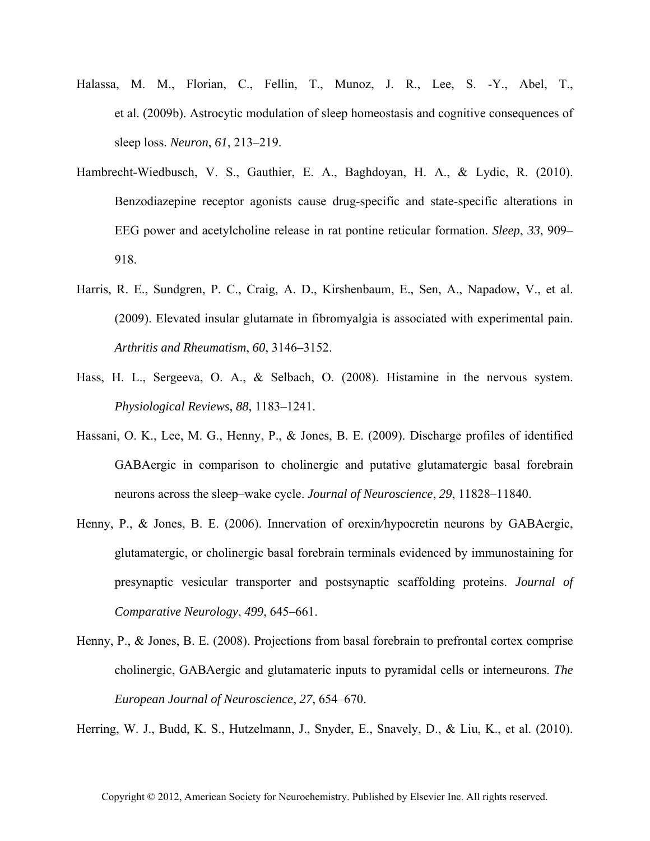- Halassa, M. M., Florian, C., Fellin, T., Munoz, J. R., Lee, S. -Y., Abel, T., et al. (2009b). Astrocytic modulation of sleep homeostasis and cognitive consequences of sleep loss. *Neuron*, *61*, 213–219.
- Hambrecht-Wiedbusch, V. S., Gauthier, E. A., Baghdoyan, H. A., & Lydic, R. (2010). Benzodiazepine receptor agonists cause drug-specific and state-specific alterations in EEG power and acetylcholine release in rat pontine reticular formation. *Sleep*, *33*, 909– 918.
- Harris, R. E., Sundgren, P. C., Craig, A. D., Kirshenbaum, E., Sen, A., Napadow, V., et al. (2009). Elevated insular glutamate in fibromyalgia is associated with experimental pain. *Arthritis and Rheumatism*, *60*, 3146–3152.
- Hass, H. L., Sergeeva, O. A., & Selbach, O. (2008). Histamine in the nervous system. *Physiological Reviews*, *88*, 1183–1241.
- Hassani, O. K., Lee, M. G., Henny, P., & Jones, B. E. (2009). Discharge profiles of identified GABAergic in comparison to cholinergic and putative glutamatergic basal forebrain neurons across the sleep–wake cycle. *Journal of Neuroscience*, *29*, 11828–11840.
- Henny, P., & Jones, B. E. (2006). Innervation of orexin*/*hypocretin neurons by GABAergic, glutamatergic, or cholinergic basal forebrain terminals evidenced by immunostaining for presynaptic vesicular transporter and postsynaptic scaffolding proteins. *Journal of Comparative Neurology*, *499*, 645–661.
- Henny, P., & Jones, B. E. (2008). Projections from basal forebrain to prefrontal cortex comprise cholinergic, GABAergic and glutamateric inputs to pyramidal cells or interneurons. *The European Journal of Neuroscience*, *27*, 654–670.

Herring, W. J., Budd, K. S., Hutzelmann, J., Snyder, E., Snavely, D., & Liu, K., et al. (2010).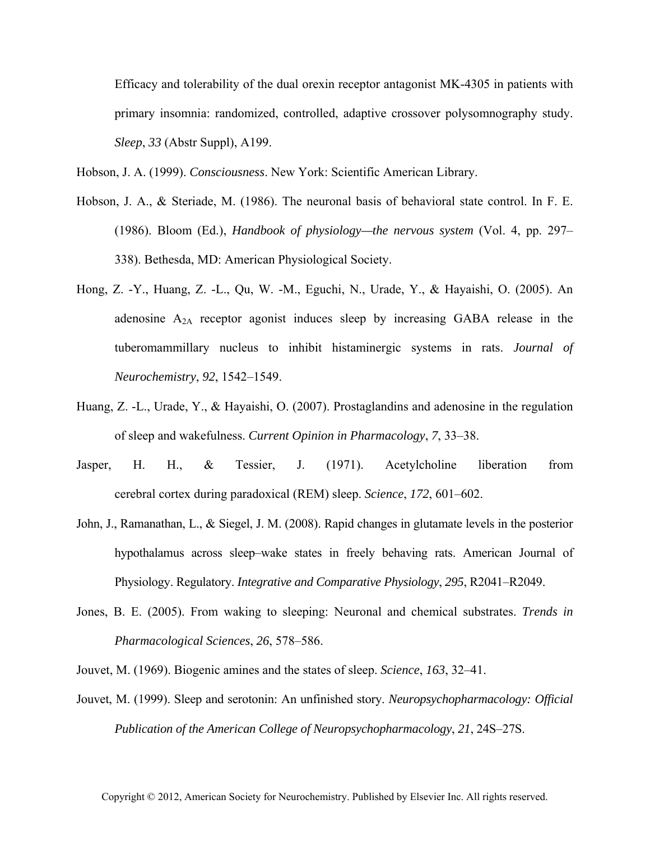Efficacy and tolerability of the dual orexin receptor antagonist MK-4305 in patients with primary insomnia: randomized, controlled, adaptive crossover polysomnography study. *Sleep*, *33* (Abstr Suppl), A199.

Hobson, J. A. (1999). *Consciousness*. New York: Scientific American Library.

- Hobson, J. A., & Steriade, M. (1986). The neuronal basis of behavioral state control. In F. E. (1986). Bloom (Ed.), *Handbook of physiology—the nervous system* (Vol. 4, pp. 297– 338). Bethesda, MD: American Physiological Society.
- Hong, Z. -Y., Huang, Z. -L., Qu, W. -M., Eguchi, N., Urade, Y., & Hayaishi, O. (2005). An adenosine  $A_{2A}$  receptor agonist induces sleep by increasing GABA release in the tuberomammillary nucleus to inhibit histaminergic systems in rats. *Journal of Neurochemistry*, *92*, 1542–1549.
- Huang, Z. -L., Urade, Y., & Hayaishi, O. (2007). Prostaglandins and adenosine in the regulation of sleep and wakefulness. *Current Opinion in Pharmacology*, *7*, 33–38.
- Jasper, H. H., & Tessier, J. (1971). Acetylcholine liberation from cerebral cortex during paradoxical (REM) sleep. *Science*, *172*, 601–602.
- John, J., Ramanathan, L., & Siegel, J. M. (2008). Rapid changes in glutamate levels in the posterior hypothalamus across sleep–wake states in freely behaving rats. American Journal of Physiology. Regulatory. *Integrative and Comparative Physiology*, *295*, R2041–R2049.
- Jones, B. E. (2005). From waking to sleeping: Neuronal and chemical substrates. *Trends in Pharmacological Sciences*, *26*, 578–586.
- Jouvet, M. (1969). Biogenic amines and the states of sleep. *Science*, *163*, 32–41.
- Jouvet, M. (1999). Sleep and serotonin: An unfinished story. *Neuropsychopharmacology: Official Publication of the American College of Neuropsychopharmacology*, *21*, 24S–27S.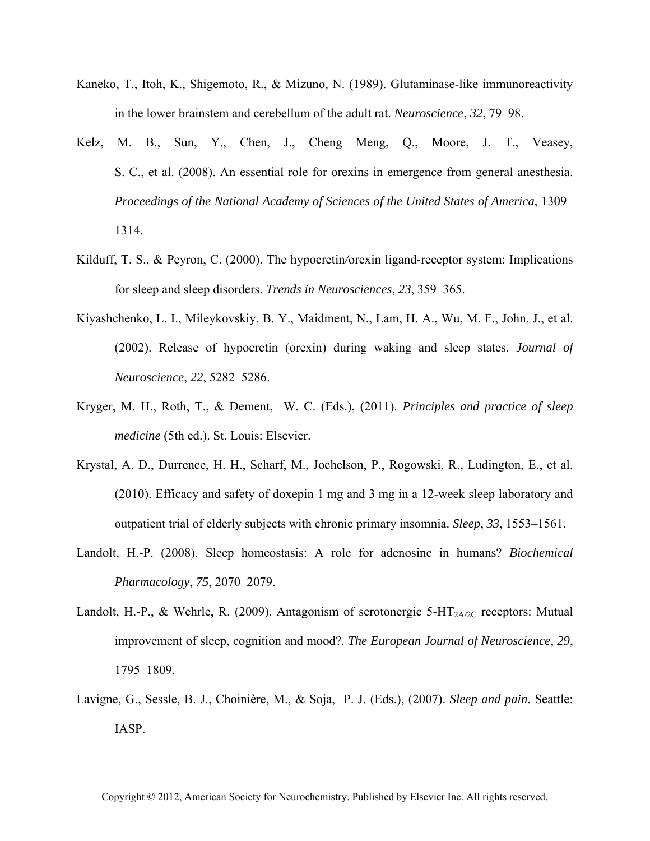- Kaneko, T., Itoh, K., Shigemoto, R., & Mizuno, N. (1989). Glutaminase-like immunoreactivity in the lower brainstem and cerebellum of the adult rat. *Neuroscience*, *32*, 79–98.
- Kelz, M. B., Sun, Y., Chen, J., Cheng Meng, Q., Moore, J. T., Veasey, S. C., et al. (2008). An essential role for orexins in emergence from general anesthesia. *Proceedings of the National Academy of Sciences of the United States of America*, 1309– 1314.
- Kilduff, T. S., & Peyron, C. (2000). The hypocretin*/*orexin ligand-receptor system: Implications for sleep and sleep disorders. *Trends in Neurosciences*, *23*, 359–365.
- Kiyashchenko, L. I., Mileykovskiy, B. Y., Maidment, N., Lam, H. A., Wu, M. F., John, J., et al. (2002). Release of hypocretin (orexin) during waking and sleep states. *Journal of Neuroscience*, *22*, 5282–5286.
- Kryger, M. H., Roth, T., & Dement, W. C. (Eds.), (2011). *Principles and practice of sleep medicine* (5th ed.). St. Louis: Elsevier.
- Krystal, A. D., Durrence, H. H., Scharf, M., Jochelson, P., Rogowski, R., Ludington, E., et al. (2010). Efficacy and safety of doxepin 1 mg and 3 mg in a 12-week sleep laboratory and outpatient trial of elderly subjects with chronic primary insomnia. *Sleep*, *33*, 1553–1561.
- Landolt, H.-P. (2008). Sleep homeostasis: A role for adenosine in humans? *Biochemical Pharmacology*, *75*, 2070–2079.
- Landolt, H.-P., & Wehrle, R. (2009). Antagonism of serotonergic 5-HT<sub>2A/2C</sub> receptors: Mutual improvement of sleep, cognition and mood?. *The European Journal of Neuroscience*, *29*, 1795–1809.
- Lavigne, G., Sessle, B. J., Choinière, M., & Soja, P. J. (Eds.), (2007). *Sleep and pain*. Seattle: IASP.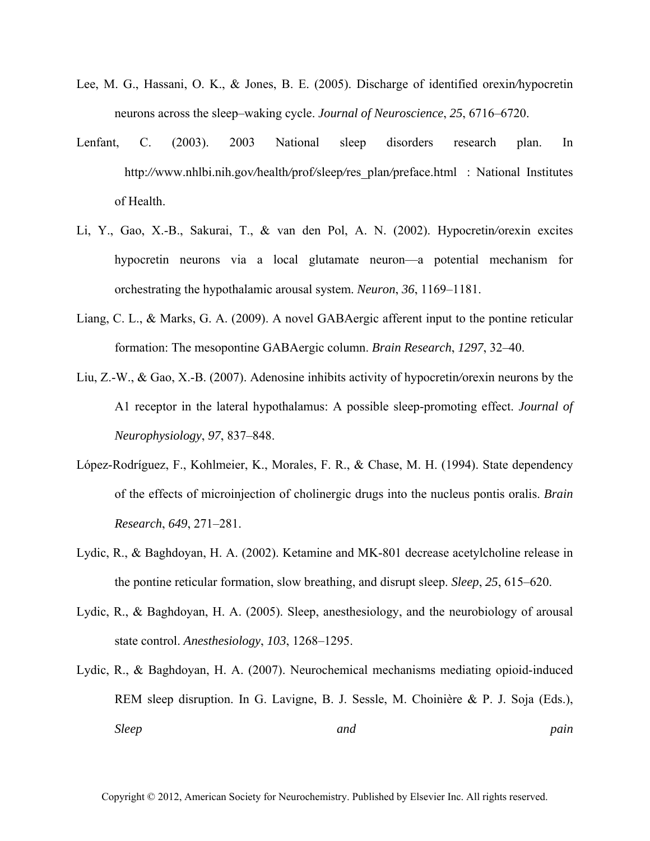- Lee, M. G., Hassani, O. K., & Jones, B. E. (2005). Discharge of identified orexin*/*hypocretin neurons across the sleep–waking cycle. *Journal of Neuroscience*, *25*, 6716–6720.
- Lenfant, C. (2003). 2003 National sleep disorders research plan. In http:*//*www.nhlbi.nih.gov*/*health*/*prof*/*sleep*/*res\_plan*/*preface.html: National Institutes of Health.
- Li, Y., Gao, X.-B., Sakurai, T., & van den Pol, A. N. (2002). Hypocretin*/*orexin excites hypocretin neurons via a local glutamate neuron—a potential mechanism for orchestrating the hypothalamic arousal system. *Neuron*, *36*, 1169–1181.
- Liang, C. L., & Marks, G. A. (2009). A novel GABAergic afferent input to the pontine reticular formation: The mesopontine GABAergic column. *Brain Research*, *1297*, 32–40.
- Liu, Z.-W., & Gao, X.-B. (2007). Adenosine inhibits activity of hypocretin*/*orexin neurons by the A1 receptor in the lateral hypothalamus: A possible sleep-promoting effect. *Journal of Neurophysiology*, *97*, 837–848.
- López-Rodríguez, F., Kohlmeier, K., Morales, F. R., & Chase, M. H. (1994). State dependency of the effects of microinjection of cholinergic drugs into the nucleus pontis oralis. *Brain Research*, *649*, 271–281.
- Lydic, R., & Baghdoyan, H. A. (2002). Ketamine and MK-801 decrease acetylcholine release in the pontine reticular formation, slow breathing, and disrupt sleep. *Sleep*, *25*, 615–620.
- Lydic, R., & Baghdoyan, H. A. (2005). Sleep, anesthesiology, and the neurobiology of arousal state control. *Anesthesiology*, *103*, 1268–1295.
- Lydic, R., & Baghdoyan, H. A. (2007). Neurochemical mechanisms mediating opioid-induced REM sleep disruption. In G. Lavigne, B. J. Sessle, M. Choinière & P. J. Soja (Eds.), *Sleep pain pain*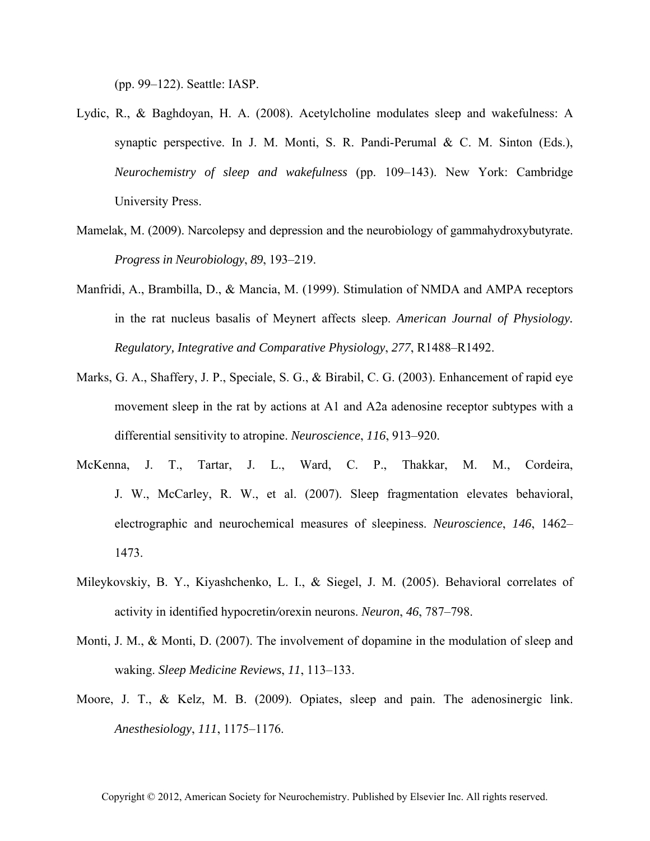(pp. 99–122). Seattle: IASP.

- Lydic, R., & Baghdoyan, H. A. (2008). Acetylcholine modulates sleep and wakefulness: A synaptic perspective. In J. M. Monti, S. R. Pandi-Perumal & C. M. Sinton (Eds.), *Neurochemistry of sleep and wakefulness* (pp. 109–143). New York: Cambridge University Press.
- Mamelak, M. (2009). Narcolepsy and depression and the neurobiology of gammahydroxybutyrate. *Progress in Neurobiology*, *89*, 193–219.
- Manfridi, A., Brambilla, D., & Mancia, M. (1999). Stimulation of NMDA and AMPA receptors in the rat nucleus basalis of Meynert affects sleep. *American Journal of Physiology. Regulatory, Integrative and Comparative Physiology*, *277*, R1488–R1492.
- Marks, G. A., Shaffery, J. P., Speciale, S. G., & Birabil, C. G. (2003). Enhancement of rapid eye movement sleep in the rat by actions at A1 and A2a adenosine receptor subtypes with a differential sensitivity to atropine. *Neuroscience*, *116*, 913–920.
- McKenna, J. T., Tartar, J. L., Ward, C. P., Thakkar, M. M., Cordeira, J. W., McCarley, R. W., et al. (2007). Sleep fragmentation elevates behavioral, electrographic and neurochemical measures of sleepiness. *Neuroscience*, *146*, 1462– 1473.
- Mileykovskiy, B. Y., Kiyashchenko, L. I., & Siegel, J. M. (2005). Behavioral correlates of activity in identified hypocretin*/*orexin neurons. *Neuron*, *46*, 787–798.
- Monti, J. M., & Monti, D. (2007). The involvement of dopamine in the modulation of sleep and waking. *Sleep Medicine Reviews*, *11*, 113–133.
- Moore, J. T., & Kelz, M. B. (2009). Opiates, sleep and pain. The adenosinergic link. *Anesthesiology*, *111*, 1175–1176.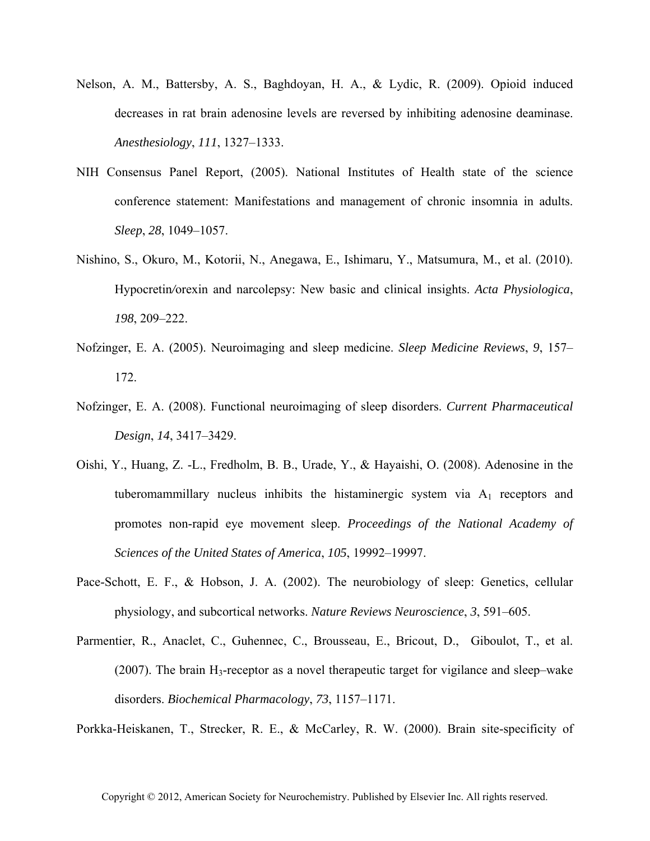- Nelson, A. M., Battersby, A. S., Baghdoyan, H. A., & Lydic, R. (2009). Opioid induced decreases in rat brain adenosine levels are reversed by inhibiting adenosine deaminase. *Anesthesiology*, *111*, 1327–1333.
- NIH Consensus Panel Report, (2005). National Institutes of Health state of the science conference statement: Manifestations and management of chronic insomnia in adults. *Sleep*, *28*, 1049–1057.
- Nishino, S., Okuro, M., Kotorii, N., Anegawa, E., Ishimaru, Y., Matsumura, M., et al. (2010). Hypocretin*/*orexin and narcolepsy: New basic and clinical insights. *Acta Physiologica*, *198*, 209–222.
- Nofzinger, E. A. (2005). Neuroimaging and sleep medicine. *Sleep Medicine Reviews*, *9*, 157– 172.
- Nofzinger, E. A. (2008). Functional neuroimaging of sleep disorders. *Current Pharmaceutical Design*, *14*, 3417–3429.
- Oishi, Y., Huang, Z. -L., Fredholm, B. B., Urade, Y., & Hayaishi, O. (2008). Adenosine in the tuberomammillary nucleus inhibits the histaminergic system via  $A_1$  receptors and promotes non-rapid eye movement sleep. *Proceedings of the National Academy of Sciences of the United States of America*, *105*, 19992–19997.
- Pace-Schott, E. F., & Hobson, J. A. (2002). The neurobiology of sleep: Genetics, cellular physiology, and subcortical networks. *Nature Reviews Neuroscience*, *3*, 591–605.
- Parmentier, R., Anaclet, C., Guhennec, C., Brousseau, E., Bricout, D., Giboulot, T., et al. (2007). The brain  $H_3$ -receptor as a novel therapeutic target for vigilance and sleep–wake disorders. *Biochemical Pharmacology*, *73*, 1157–1171.

Porkka-Heiskanen, T., Strecker, R. E., & McCarley, R. W. (2000). Brain site-specificity of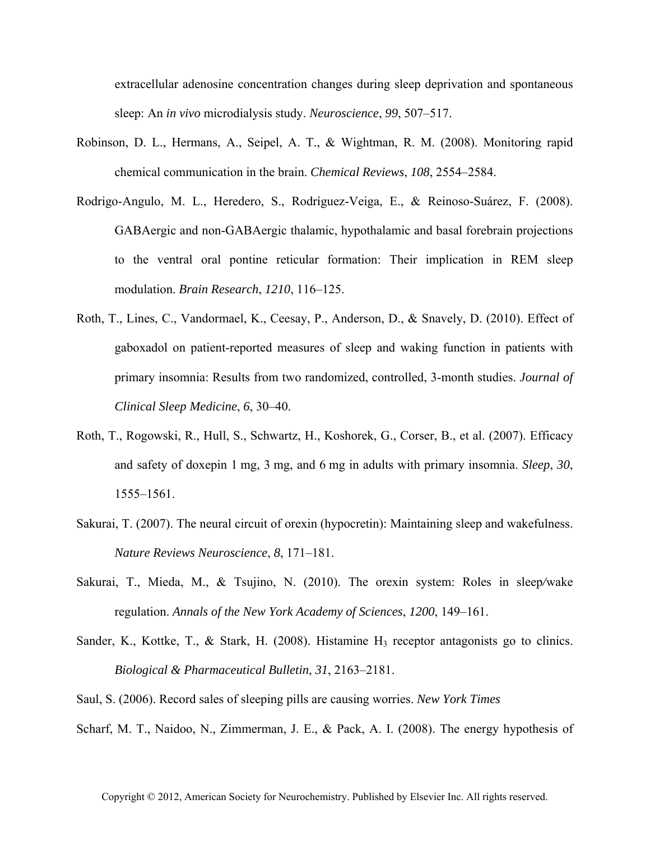extracellular adenosine concentration changes during sleep deprivation and spontaneous sleep: An *in vivo* microdialysis study. *Neuroscience*, *99*, 507–517.

- Robinson, D. L., Hermans, A., Seipel, A. T., & Wightman, R. M. (2008). Monitoring rapid chemical communication in the brain. *Chemical Reviews*, *108*, 2554–2584.
- Rodrigo-Angulo, M. L., Heredero, S., Rodríguez-Veiga, E., & Reinoso-Suárez, F. (2008). GABAergic and non-GABAergic thalamic, hypothalamic and basal forebrain projections to the ventral oral pontine reticular formation: Their implication in REM sleep modulation. *Brain Research*, *1210*, 116–125.
- Roth, T., Lines, C., Vandormael, K., Ceesay, P., Anderson, D., & Snavely, D. (2010). Effect of gaboxadol on patient-reported measures of sleep and waking function in patients with primary insomnia: Results from two randomized, controlled, 3-month studies. *Journal of Clinical Sleep Medicine*, *6*, 30–40.
- Roth, T., Rogowski, R., Hull, S., Schwartz, H., Koshorek, G., Corser, B., et al. (2007). Efficacy and safety of doxepin 1 mg, 3 mg, and 6 mg in adults with primary insomnia. *Sleep*, *30*, 1555–1561.
- Sakurai, T. (2007). The neural circuit of orexin (hypocretin): Maintaining sleep and wakefulness. *Nature Reviews Neuroscience*, *8*, 171–181.
- Sakurai, T., Mieda, M., & Tsujino, N. (2010). The orexin system: Roles in sleep*/*wake regulation. *Annals of the New York Academy of Sciences*, *1200*, 149–161.
- Sander, K., Kottke, T., & Stark, H. (2008). Histamine  $H_3$  receptor antagonists go to clinics. *Biological & Pharmaceutical Bulletin*, *31*, 2163–2181.
- Saul, S. (2006). Record sales of sleeping pills are causing worries. *New York Times*
- Scharf, M. T., Naidoo, N., Zimmerman, J. E., & Pack, A. I. (2008). The energy hypothesis of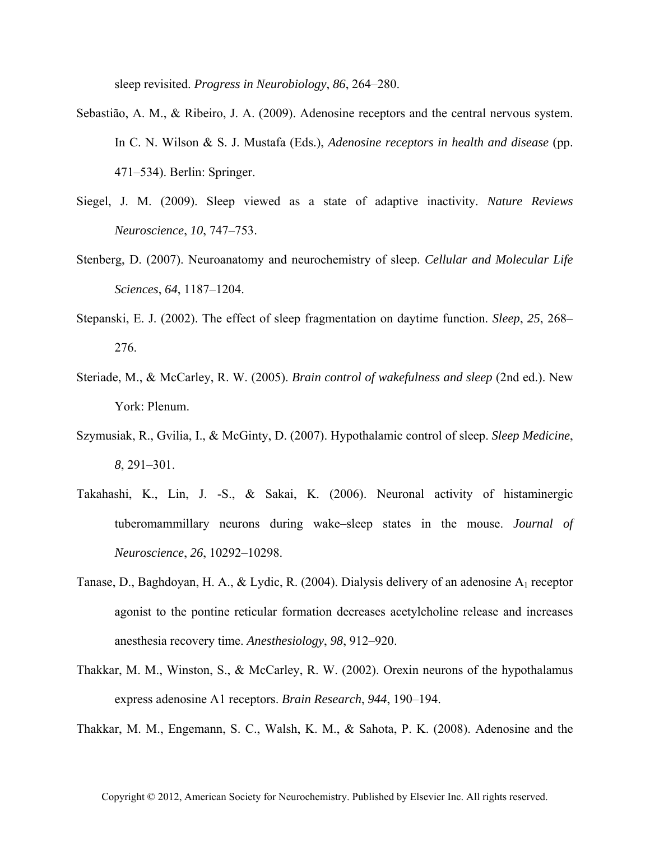sleep revisited. *Progress in Neurobiology*, *86*, 264–280.

- Sebastião, A. M., & Ribeiro, J. A. (2009). Adenosine receptors and the central nervous system. In C. N. Wilson & S. J. Mustafa (Eds.), *Adenosine receptors in health and disease* (pp. 471–534). Berlin: Springer.
- Siegel, J. M. (2009). Sleep viewed as a state of adaptive inactivity. *Nature Reviews Neuroscience*, *10*, 747–753.
- Stenberg, D. (2007). Neuroanatomy and neurochemistry of sleep. *Cellular and Molecular Life Sciences*, *64*, 1187–1204.
- Stepanski, E. J. (2002). The effect of sleep fragmentation on daytime function. *Sleep*, *25*, 268– 276.
- Steriade, M., & McCarley, R. W. (2005). *Brain control of wakefulness and sleep* (2nd ed.). New York: Plenum.
- Szymusiak, R., Gvilia, I., & McGinty, D. (2007). Hypothalamic control of sleep. *Sleep Medicine*, *8*, 291–301.
- Takahashi, K., Lin, J. -S., & Sakai, K. (2006). Neuronal activity of histaminergic tuberomammillary neurons during wake–sleep states in the mouse. *Journal of Neuroscience*, *26*, 10292–10298.
- Tanase, D., Baghdoyan, H. A., & Lydic, R. (2004). Dialysis delivery of an adenosine  $A_1$  receptor agonist to the pontine reticular formation decreases acetylcholine release and increases anesthesia recovery time. *Anesthesiology*, *98*, 912–920.
- Thakkar, M. M., Winston, S., & McCarley, R. W. (2002). Orexin neurons of the hypothalamus express adenosine A1 receptors. *Brain Research*, *944*, 190–194.

Thakkar, M. M., Engemann, S. C., Walsh, K. M., & Sahota, P. K. (2008). Adenosine and the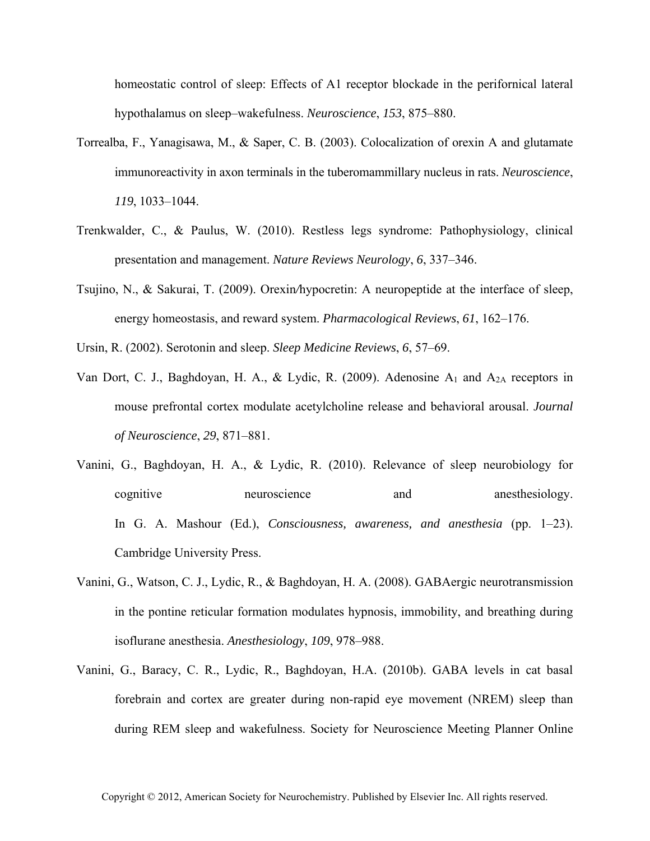homeostatic control of sleep: Effects of A1 receptor blockade in the perifornical lateral hypothalamus on sleep–wakefulness. *Neuroscience*, *153*, 875–880.

- Torrealba, F., Yanagisawa, M., & Saper, C. B. (2003). Colocalization of orexin A and glutamate immunoreactivity in axon terminals in the tuberomammillary nucleus in rats. *Neuroscience*, *119*, 1033–1044.
- Trenkwalder, C., & Paulus, W. (2010). Restless legs syndrome: Pathophysiology, clinical presentation and management. *Nature Reviews Neurology*, *6*, 337–346.
- Tsujino, N., & Sakurai, T. (2009). Orexin*/*hypocretin: A neuropeptide at the interface of sleep, energy homeostasis, and reward system. *Pharmacological Reviews*, *61*, 162–176.
- Ursin, R. (2002). Serotonin and sleep. *Sleep Medicine Reviews*, *6*, 57–69.
- Van Dort, C. J., Baghdoyan, H. A., & Lydic, R. (2009). Adenosine  $A_1$  and  $A_{2A}$  receptors in mouse prefrontal cortex modulate acetylcholine release and behavioral arousal. *Journal of Neuroscience*, *29*, 871–881.
- Vanini, G., Baghdoyan, H. A., & Lydic, R. (2010). Relevance of sleep neurobiology for cognitive neuroscience and anesthesiology. In G. A. Mashour (Ed.), *Consciousness, awareness, and anesthesia* (pp. 1–23). Cambridge University Press.
- Vanini, G., Watson, C. J., Lydic, R., & Baghdoyan, H. A. (2008). GABAergic neurotransmission in the pontine reticular formation modulates hypnosis, immobility, and breathing during isoflurane anesthesia. *Anesthesiology*, *109*, 978–988.
- Vanini, G., Baracy, C. R., Lydic, R., Baghdoyan, H.A. (2010b). GABA levels in cat basal forebrain and cortex are greater during non-rapid eye movement (NREM) sleep than during REM sleep and wakefulness. Society for Neuroscience Meeting Planner Online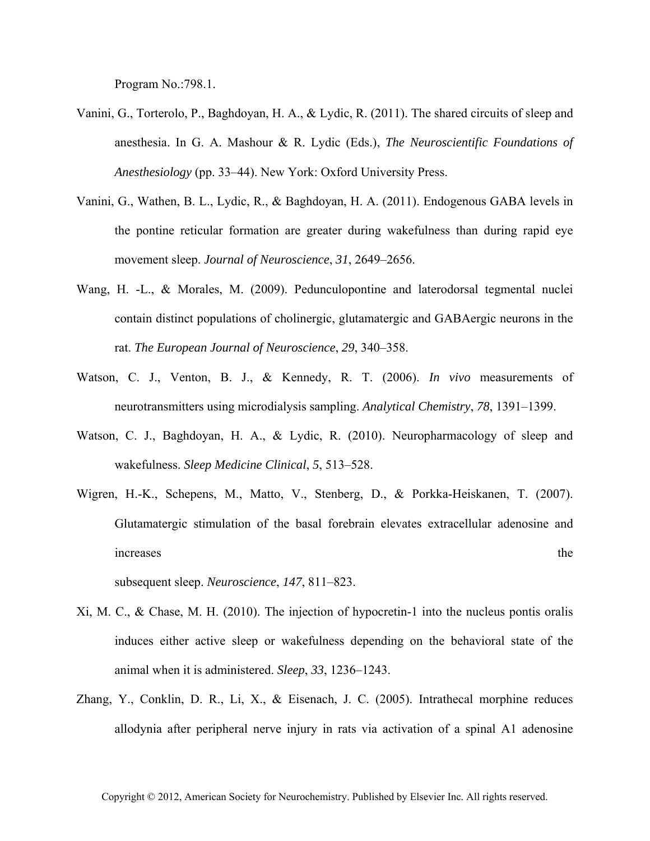Program No.:798.1.

- Vanini, G., Torterolo, P., Baghdoyan, H. A., & Lydic, R. (2011). The shared circuits of sleep and anesthesia. In G. A. Mashour & R. Lydic (Eds.), *The Neuroscientific Foundations of Anesthesiology* (pp. 33–44). New York: Oxford University Press.
- Vanini, G., Wathen, B. L., Lydic, R., & Baghdoyan, H. A. (2011). Endogenous GABA levels in the pontine reticular formation are greater during wakefulness than during rapid eye movement sleep. *Journal of Neuroscience*, *31*, 2649–2656.
- Wang, H. -L., & Morales, M. (2009). Pedunculopontine and laterodorsal tegmental nuclei contain distinct populations of cholinergic, glutamatergic and GABAergic neurons in the rat. *The European Journal of Neuroscience*, *29*, 340–358.
- Watson, C. J., Venton, B. J., & Kennedy, R. T. (2006). *In vivo* measurements of neurotransmitters using microdialysis sampling. *Analytical Chemistry*, *78*, 1391–1399.
- Watson, C. J., Baghdoyan, H. A., & Lydic, R. (2010). Neuropharmacology of sleep and wakefulness. *Sleep Medicine Clinical*, *5*, 513–528.
- Wigren, H.-K., Schepens, M., Matto, V., Stenberg, D., & Porkka-Heiskanen, T. (2007). Glutamatergic stimulation of the basal forebrain elevates extracellular adenosine and increases the the set of the set of the set of the set of the set of the set of the set of the set of the set of the set of the set of the set of the set of the set of the set of the set of the set of the set of the set of

subsequent sleep. *Neuroscience*, *147*, 811–823.

- Xi, M. C., & Chase, M. H. (2010). The injection of hypocretin-1 into the nucleus pontis oralis induces either active sleep or wakefulness depending on the behavioral state of the animal when it is administered. *Sleep*, *33*, 1236–1243.
- Zhang, Y., Conklin, D. R., Li, X., & Eisenach, J. C. (2005). Intrathecal morphine reduces allodynia after peripheral nerve injury in rats via activation of a spinal A1 adenosine